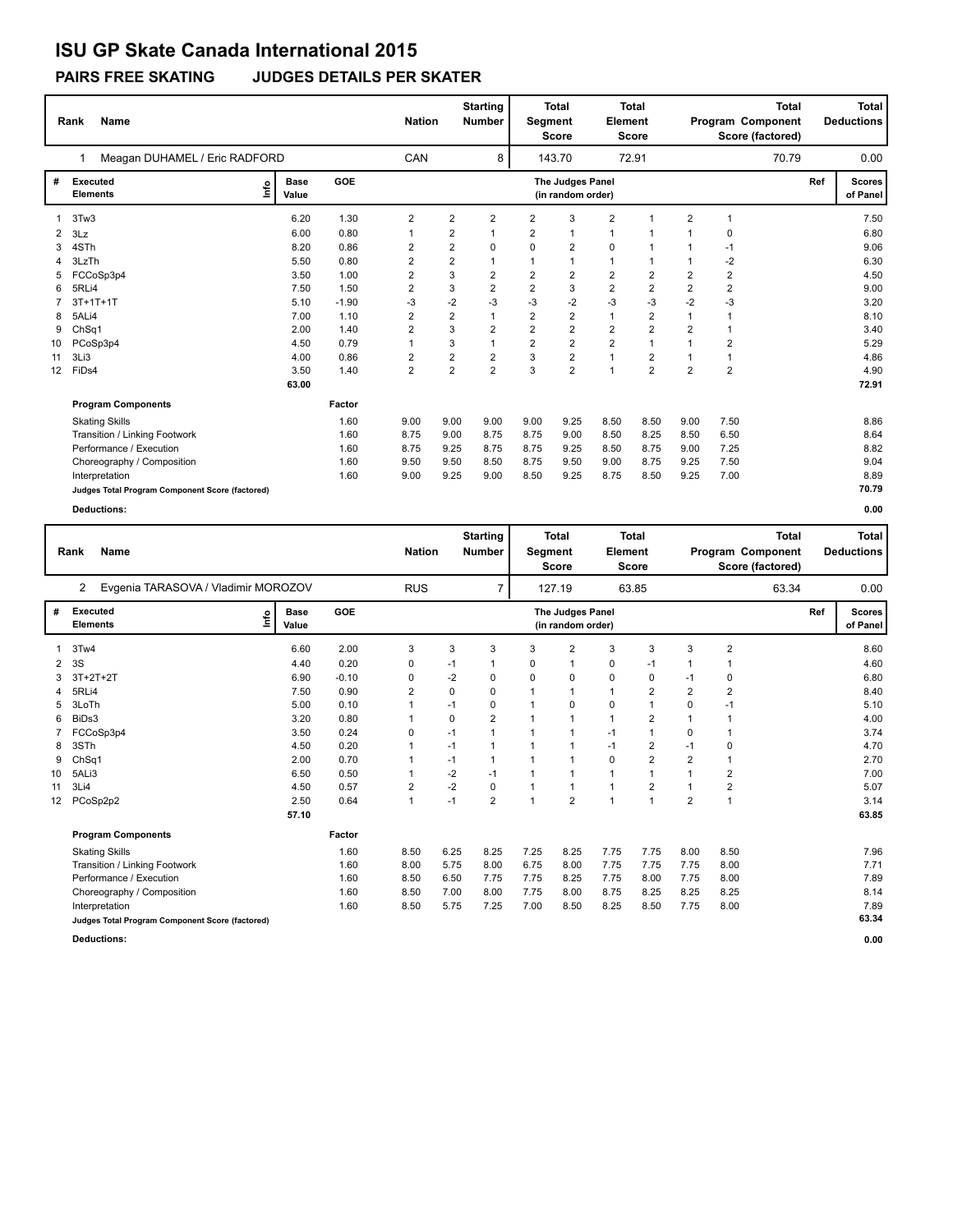**PAIRS FREE SKATING JUDGES DETAILS PER SKATER**

|    | Name<br>Rank                                    |                      |         |                         | <b>Nation</b>  |                | <b>Starting</b><br><b>Number</b> | Segment                               | <b>Total</b><br><b>Score</b> | Element                 | <b>Total</b><br><b>Score</b> |                | <b>Total</b><br>Program Component<br>Score (factored) |                           | <b>Total</b><br><b>Deductions</b> |
|----|-------------------------------------------------|----------------------|---------|-------------------------|----------------|----------------|----------------------------------|---------------------------------------|------------------------------|-------------------------|------------------------------|----------------|-------------------------------------------------------|---------------------------|-----------------------------------|
|    | Meagan DUHAMEL / Eric RADFORD                   |                      |         | CAN                     |                | 8              |                                  | 143.70                                |                              | 72.91                   |                              | 70.79          |                                                       | 0.00                      |                                   |
| #  | <b>Executed</b><br>lnfo<br><b>Elements</b>      | <b>Base</b><br>Value | GOE     |                         |                |                |                                  | The Judges Panel<br>(in random order) |                              |                         |                              |                | Ref                                                   | <b>Scores</b><br>of Panel |                                   |
|    | 3Tw3                                            | 6.20                 | 1.30    | 2                       | $\overline{2}$ | 2              | 2                                | 3                                     | $\overline{2}$               | $\overline{1}$          | 2                            | $\overline{1}$ |                                                       | 7.50                      |                                   |
| 2  | 3Lz                                             | 6.00                 | 0.80    | 1                       | 2              |                | $\overline{2}$                   | 1                                     | 1                            |                         |                              | 0              |                                                       | 6.80                      |                                   |
| 3  | 4STh                                            | 8.20                 | 0.86    | 2                       | $\overline{2}$ | 0              | $\Omega$                         | 2                                     | $\mathbf 0$                  |                         | $\mathbf 1$                  | $-1$           |                                                       | 9.06                      |                                   |
| 4  | 3LzTh                                           | 5.50                 | 0.80    | $\overline{2}$          | $\overline{2}$ | 1              |                                  | $\mathbf{1}$                          | $\mathbf{1}$                 | 1                       |                              | $-2$           |                                                       | 6.30                      |                                   |
|    | FCCoSp3p4                                       | 3.50                 | 1.00    | $\overline{2}$          | 3              | $\overline{2}$ | $\overline{2}$                   | $\overline{\mathbf{c}}$               | $\overline{2}$               | $\overline{2}$          | 2                            | $\overline{2}$ |                                                       | 4.50                      |                                   |
| 6  | 5RLi4                                           | 7.50                 | 1.50    | 2                       | 3              | $\overline{2}$ | $\overline{2}$                   | 3                                     | $\overline{2}$               | $\overline{\mathbf{c}}$ | $\overline{2}$               | $\overline{2}$ |                                                       | 9.00                      |                                   |
|    | $3T+1T+1T$                                      | 5.10                 | $-1.90$ | $-3$                    | $-2$           | $-3$           | $-3$                             | -2                                    | $-3$                         | -3                      | $-2$                         | $-3$           |                                                       | 3.20                      |                                   |
| 8  | 5ALi4                                           | 7.00                 | 1.10    | $\overline{2}$          | $\overline{2}$ | 1              | 2                                | $\overline{\mathbf{c}}$               | $\mathbf{1}$                 | $\overline{2}$          | 1                            | $\mathbf 1$    |                                                       | 8.10                      |                                   |
| 9  | ChSq1                                           | 2.00                 | 1.40    | 2                       | 3              | $\overline{2}$ | 2                                | $\overline{\mathbf{c}}$               | $\overline{2}$               | $\overline{2}$          | $\overline{2}$               | $\overline{1}$ |                                                       | 3.40                      |                                   |
| 10 | PCoSp3p4                                        | 4.50                 | 0.79    | 1                       | 3              | 1              | $\overline{2}$                   | $\overline{2}$                        | $\overline{2}$               | $\overline{1}$          |                              | $\overline{2}$ |                                                       | 5.29                      |                                   |
| 11 | 3Li3                                            | 4.00                 | 0.86    | 2                       | $\overline{2}$ | 2              | 3                                | $\overline{2}$                        | $\mathbf{1}$                 | $\overline{2}$          |                              | $\overline{1}$ |                                                       | 4.86                      |                                   |
| 12 | FiDs4                                           | 3.50                 | 1.40    | $\overline{\mathbf{c}}$ | $\overline{2}$ | $\overline{2}$ | 3                                | $\overline{2}$                        | $\overline{1}$               | $\overline{2}$          | $\overline{2}$               | $\overline{2}$ |                                                       | 4.90                      |                                   |
|    |                                                 | 63.00                |         |                         |                |                |                                  |                                       |                              |                         |                              |                |                                                       | 72.91                     |                                   |
|    | <b>Program Components</b>                       |                      | Factor  |                         |                |                |                                  |                                       |                              |                         |                              |                |                                                       |                           |                                   |
|    | <b>Skating Skills</b>                           |                      | 1.60    | 9.00                    | 9.00           | 9.00           | 9.00                             | 9.25                                  | 8.50                         | 8.50                    | 9.00                         | 7.50           |                                                       | 8.86                      |                                   |
|    | Transition / Linking Footwork                   |                      | 1.60    | 8.75                    | 9.00           | 8.75           | 8.75                             | 9.00                                  | 8.50                         | 8.25                    | 8.50                         | 6.50           |                                                       | 8.64                      |                                   |
|    | Performance / Execution                         |                      | 1.60    | 8.75                    | 9.25           | 8.75           | 8.75                             | 9.25                                  | 8.50                         | 8.75                    | 9.00                         | 7.25           |                                                       | 8.82                      |                                   |
|    | Choreography / Composition                      |                      | 1.60    | 9.50                    | 9.50           | 8.50           | 8.75                             | 9.50                                  | 9.00                         | 8.75                    | 9.25                         | 7.50           |                                                       | 9.04                      |                                   |
|    | Interpretation                                  |                      | 1.60    | 9.00                    | 9.25           | 9.00           | 8.50                             | 9.25                                  | 8.75                         | 8.50                    | 9.25                         | 7.00           |                                                       | 8.89                      |                                   |
|    | Judges Total Program Component Score (factored) |                      |         |                         |                |                |                                  |                                       |                              |                         |                              |                |                                                       | 70.79                     |                                   |
|    | <b>Deductions:</b>                              |                      |         |                         |                |                |                                  |                                       |                              |                         |                              |                |                                                       | 0.00                      |                                   |

|    | <b>Name</b><br>Rank                             |                      |         | <b>Nation</b>  |          | <b>Starting</b><br><b>Number</b> | Segment      | <b>Total</b><br><b>Score</b>          | Element      | <b>Total</b><br><b>Score</b> |                | Program Component<br>Score (factored) | <b>Total</b> | <b>Total</b><br><b>Deductions</b> |
|----|-------------------------------------------------|----------------------|---------|----------------|----------|----------------------------------|--------------|---------------------------------------|--------------|------------------------------|----------------|---------------------------------------|--------------|-----------------------------------|
|    | Evgenia TARASOVA / Vladimir MOROZOV<br>2        |                      |         | <b>RUS</b>     |          | $\overline{7}$                   |              | 127.19                                |              | 63.85                        |                |                                       | 63.34        | 0.00                              |
| #  | Executed<br>lmo<br><b>Elements</b>              | <b>Base</b><br>Value | GOE     |                |          |                                  |              | The Judges Panel<br>(in random order) |              |                              |                |                                       | Ref          | <b>Scores</b><br>of Panel         |
| 1  | 3Tw4                                            | 6.60                 | 2.00    | 3              | 3        | 3                                | 3            | $\overline{2}$                        | 3            | 3                            | 3              | $\overline{2}$                        |              | 8.60                              |
| 2  | 3S                                              | 4.40                 | 0.20    | 0              | $-1$     |                                  | 0            | 1                                     | 0            | -1                           |                |                                       |              | 4.60                              |
| 3  | 3T+2T+2T                                        | 6.90                 | $-0.10$ | 0              | $-2$     | 0                                | 0            | 0                                     | 0            | 0                            | $-1$           | 0                                     |              | 6.80                              |
| 4  | 5RLi4                                           | 7.50                 | 0.90    | $\overline{2}$ | 0        | 0                                | $\mathbf{1}$ | $\mathbf 1$                           | $\mathbf{1}$ | 2                            | $\overline{2}$ | $\overline{2}$                        |              | 8.40                              |
| 5  | 3LoTh                                           | 5.00                 | 0.10    | 1              | $-1$     | 0                                | 1            | 0                                     | $\mathbf 0$  | $\mathbf 1$                  | $\Omega$       | $-1$                                  |              | 5.10                              |
| 6  | BiDs3                                           | 3.20                 | 0.80    |                | $\Omega$ | 2                                | $\mathbf{1}$ | $\mathbf{1}$                          | $\mathbf{1}$ | $\overline{2}$               | $\overline{1}$ |                                       |              | 4.00                              |
|    | FCCoSp3p4                                       | 3.50                 | 0.24    | 0              | $-1$     |                                  | 1            | $\mathbf{1}$                          | $-1$         |                              | $\Omega$       |                                       |              | 3.74                              |
| 8  | 3STh                                            | 4.50                 | 0.20    |                | $-1$     |                                  | $\mathbf{1}$ | $\mathbf{1}$                          | $-1$         | 2                            | $-1$           | $\mathbf 0$                           |              | 4.70                              |
| 9  | ChSq1                                           | 2.00                 | 0.70    |                | $-1$     |                                  | 1            | $\mathbf{1}$                          | $\mathbf 0$  | $\overline{\mathbf{c}}$      | $\overline{2}$ |                                       |              | 2.70                              |
| 10 | 5ALi3                                           | 6.50                 | 0.50    |                | $-2$     | $-1$                             | 1            | $\mathbf{1}$                          | $\mathbf{1}$ |                              |                | $\sqrt{2}$                            |              | 7.00                              |
| 11 | 3Li4                                            | 4.50                 | 0.57    | $\overline{2}$ | $-2$     | 0                                | 1            | $\mathbf{1}$                          | $\mathbf{1}$ | $\overline{2}$               |                | $\overline{\mathbf{c}}$               |              | 5.07                              |
| 12 | PCoSp2p2                                        | 2.50                 | 0.64    | $\mathbf{1}$   | $-1$     | $\overline{2}$                   | $\mathbf{1}$ | $\overline{2}$                        | $\mathbf{1}$ | $\overline{1}$               | $\overline{2}$ | $\mathbf{1}$                          |              | 3.14                              |
|    |                                                 | 57.10                |         |                |          |                                  |              |                                       |              |                              |                |                                       |              | 63.85                             |
|    | <b>Program Components</b>                       |                      | Factor  |                |          |                                  |              |                                       |              |                              |                |                                       |              |                                   |
|    | <b>Skating Skills</b>                           |                      | 1.60    | 8.50           | 6.25     | 8.25                             | 7.25         | 8.25                                  | 7.75         | 7.75                         | 8.00           | 8.50                                  |              | 7.96                              |
|    | Transition / Linking Footwork                   |                      | 1.60    | 8.00           | 5.75     | 8.00                             | 6.75         | 8.00                                  | 7.75         | 7.75                         | 7.75           | 8.00                                  |              | 7.71                              |
|    | Performance / Execution                         |                      | 1.60    | 8.50           | 6.50     | 7.75                             | 7.75         | 8.25                                  | 7.75         | 8.00                         | 7.75           | 8.00                                  |              | 7.89                              |
|    | Choreography / Composition                      |                      | 1.60    | 8.50           | 7.00     | 8.00                             | 7.75         | 8.00                                  | 8.75         | 8.25                         | 8.25           | 8.25                                  |              | 8.14                              |
|    | Interpretation                                  |                      | 1.60    | 8.50           | 5.75     | 7.25                             | 7.00         | 8.50                                  | 8.25         | 8.50                         | 7.75           | 8.00                                  |              | 7.89                              |
|    | Judges Total Program Component Score (factored) |                      |         |                |          |                                  |              |                                       |              |                              |                |                                       |              | 63.34                             |
|    | <b>Deductions:</b>                              |                      |         |                |          |                                  |              |                                       |              |                              |                |                                       |              | 0.00                              |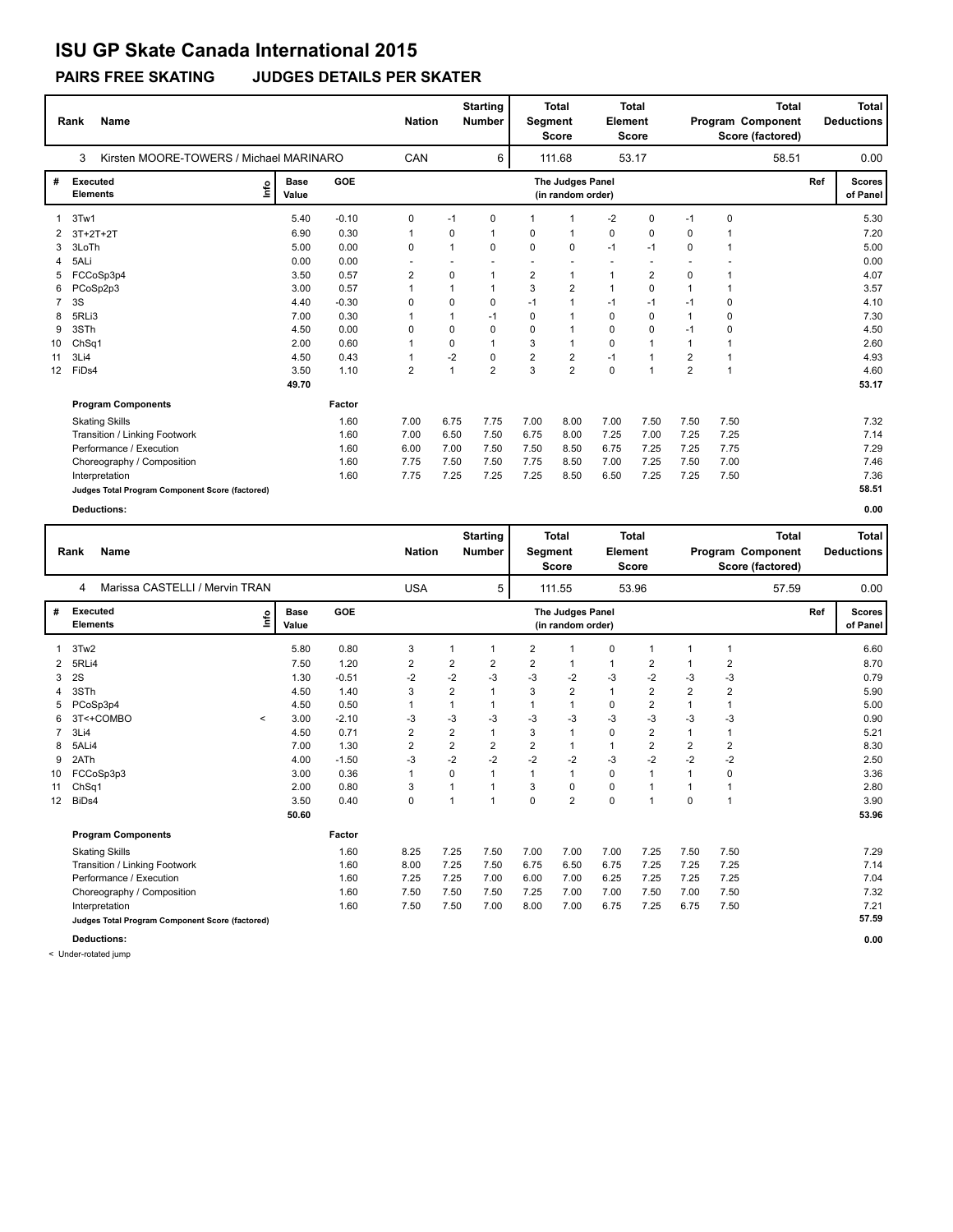**PAIRS FREE SKATING JUDGES DETAILS PER SKATER**

|                 | <b>Name</b><br>Rank                             |                      |            |                | <b>Nation</b> | <b>Starting</b><br><b>Number</b> |                | <b>Total</b><br>Segment<br><b>Score</b> | <b>Element</b> | <b>Total</b><br><b>Score</b> |                |             | <b>Total</b><br>Program Component<br>Score (factored) |     | <b>Total</b><br><b>Deductions</b> |
|-----------------|-------------------------------------------------|----------------------|------------|----------------|---------------|----------------------------------|----------------|-----------------------------------------|----------------|------------------------------|----------------|-------------|-------------------------------------------------------|-----|-----------------------------------|
|                 | 3<br>Kirsten MOORE-TOWERS / Michael MARINARO    |                      |            | CAN            |               | 6                                |                | 111.68                                  |                | 53.17                        |                |             | 58.51                                                 |     | 0.00                              |
| #               | Executed<br>١mfo<br><b>Elements</b>             | <b>Base</b><br>Value | <b>GOE</b> |                |               |                                  |                | The Judges Panel<br>(in random order)   |                |                              |                |             |                                                       | Ref | <b>Scores</b><br>of Panel         |
| 1               | 3Tw1                                            | 5.40                 | $-0.10$    | 0              | $-1$          | 0                                | 1              | 1                                       | $-2$           | $\mathbf 0$                  | $-1$           | $\mathbf 0$ |                                                       |     | 5.30                              |
| 2               | $3T+2T+2T$                                      | 6.90                 | 0.30       | $\mathbf{1}$   | 0             | $\overline{1}$                   | 0              | $\mathbf{1}$                            | 0              | 0                            | 0              | 1           |                                                       |     | 7.20                              |
| 3               | 3LoTh                                           | 5.00                 | 0.00       | 0              | 1             | $\Omega$                         | 0              | 0                                       | $-1$           | $-1$                         | $\Omega$       | 1           |                                                       |     | 5.00                              |
| 4               | 5ALi                                            | 0.00                 | 0.00       |                |               |                                  |                | $\overline{\phantom{a}}$                |                |                              |                |             |                                                       |     | 0.00                              |
| 5               | FCCoSp3p4                                       | 3.50                 | 0.57       | $\overline{2}$ | 0             | 1                                | $\overline{2}$ | $\mathbf{1}$                            | 1              | $\overline{2}$               | 0              | 1           |                                                       |     | 4.07                              |
| 6               | PCoSp2p3                                        | 3.00                 | 0.57       | 1              |               | 1                                | 3              | $\overline{2}$                          | $\mathbf{1}$   | $\mathbf 0$                  | $\mathbf{1}$   | 1           |                                                       |     | 3.57                              |
|                 | 3S                                              | 4.40                 | $-0.30$    | 0              | 0             | 0                                | $-1$           | $\mathbf{1}$                            | $-1$           | $-1$                         | $-1$           | 0           |                                                       |     | 4.10                              |
| 8               | 5RLi3                                           | 7.00                 | 0.30       | 1              |               | $-1$                             | 0              | 1                                       | $\mathbf 0$    | $\Omega$                     | 1              | 0           |                                                       |     | 7.30                              |
| 9               | 3STh                                            | 4.50                 | 0.00       | 0              | 0             | 0                                | 0              | 1                                       | 0              | $\mathbf 0$                  | $-1$           | 0           |                                                       |     | 4.50                              |
| 10              | Ch <sub>Sq1</sub>                               | 2.00                 | 0.60       |                | 0             |                                  | 3              | 1                                       | $\mathbf 0$    | $\overline{1}$               | 1              |             |                                                       |     | 2.60                              |
| 11              | 3Li4                                            | 4.50                 | 0.43       | 1              | $-2$          | 0                                | $\overline{2}$ | $\overline{\mathbf{c}}$                 | $-1$           | $\overline{1}$               | $\overline{2}$ | $\mathbf 1$ |                                                       |     | 4.93                              |
| 12 <sup>2</sup> | FiDs4                                           | 3.50                 | 1.10       | $\overline{2}$ |               | $\overline{2}$                   | 3              | $\overline{2}$                          | $\Omega$       | $\overline{1}$               | $\overline{2}$ | 1           |                                                       |     | 4.60                              |
|                 |                                                 | 49.70                |            |                |               |                                  |                |                                         |                |                              |                |             |                                                       |     | 53.17                             |
|                 | <b>Program Components</b>                       |                      | Factor     |                |               |                                  |                |                                         |                |                              |                |             |                                                       |     |                                   |
|                 | <b>Skating Skills</b>                           |                      | 1.60       | 7.00           | 6.75          | 7.75                             | 7.00           | 8.00                                    | 7.00           | 7.50                         | 7.50           | 7.50        |                                                       |     | 7.32                              |
|                 | Transition / Linking Footwork                   |                      | 1.60       | 7.00           | 6.50          | 7.50                             | 6.75           | 8.00                                    | 7.25           | 7.00                         | 7.25           | 7.25        |                                                       |     | 7.14                              |
|                 | Performance / Execution                         |                      | 1.60       | 6.00           | 7.00          | 7.50                             | 7.50           | 8.50                                    | 6.75           | 7.25                         | 7.25           | 7.75        |                                                       |     | 7.29                              |
|                 | Choreography / Composition                      |                      | 1.60       | 7.75           | 7.50          | 7.50                             | 7.75           | 8.50                                    | 7.00           | 7.25                         | 7.50           | 7.00        |                                                       |     | 7.46                              |
|                 | Interpretation                                  |                      | 1.60       | 7.75           | 7.25          | 7.25                             | 7.25           | 8.50                                    | 6.50           | 7.25                         | 7.25           | 7.50        |                                                       |     | 7.36                              |
|                 | Judges Total Program Component Score (factored) |                      |            |                |               |                                  |                |                                         |                |                              |                |             |                                                       |     | 58.51                             |
|                 | <b>Deductions:</b>                              |                      |            |                |               |                                  |                |                                         |                |                              |                |             |                                                       |     | 0.00                              |

|                 | <b>Name</b><br>Rank                             |                                  |                      |         | <b>Nation</b>  |                | <b>Starting</b><br><b>Number</b> | Segment        | Total<br><b>Score</b>                 | Element      | <b>Total</b><br><b>Score</b> |                | <b>Total</b><br>Program Component<br>Score (factored) |     | <b>Total</b><br><b>Deductions</b> |
|-----------------|-------------------------------------------------|----------------------------------|----------------------|---------|----------------|----------------|----------------------------------|----------------|---------------------------------------|--------------|------------------------------|----------------|-------------------------------------------------------|-----|-----------------------------------|
|                 | Marissa CASTELLI / Mervin TRAN<br>4             |                                  |                      |         | <b>USA</b>     |                | 5                                |                | 111.55                                |              | 53.96                        |                | 57.59                                                 |     | 0.00                              |
| #               | <b>Executed</b><br><b>Elements</b>              | $\mathop{\mathsf{Irr}}\nolimits$ | <b>Base</b><br>Value | GOE     |                |                |                                  |                | The Judges Panel<br>(in random order) |              |                              |                |                                                       | Ref | Scores<br>of Panel                |
|                 | 3Tw2                                            |                                  | 5.80                 | 0.80    | 3              | 1              | 1                                | $\overline{2}$ | $\mathbf{1}$                          | $\mathbf 0$  | -1                           |                | -1                                                    |     | 6.60                              |
| 2               | 5RLi4                                           |                                  | 7.50                 | 1.20    | 2              | 2              | 2                                | 2              | $\mathbf{1}$                          | $\mathbf{1}$ | 2                            |                | 2                                                     |     | 8.70                              |
| 3               | 2S                                              |                                  | 1.30                 | $-0.51$ | $-2$           | $-2$           | $-3$                             | -3             | -2                                    | $-3$         | $-2$                         | -3             | $-3$                                                  |     | 0.79                              |
| 4               | 3STh                                            |                                  | 4.50                 | 1.40    | 3              | $\overline{2}$ | 1                                | 3              | $\overline{2}$                        | $\mathbf{1}$ | $\overline{2}$               | $\overline{2}$ | $\overline{2}$                                        |     | 5.90                              |
| 5               | PCoSp3p4                                        |                                  | 4.50                 | 0.50    | 1              | 1              | 1                                | 1              | $\mathbf{1}$                          | 0            | $\overline{2}$               | $\mathbf{1}$   | -1                                                    |     | 5.00                              |
| 6               | 3T<+COMBO                                       | $\checkmark$                     | 3.00                 | $-2.10$ | -3             | -3             | -3                               | -3             | $-3$                                  | $-3$         | $-3$                         | -3             | -3                                                    |     | 0.90                              |
|                 | 3Li4                                            |                                  | 4.50                 | 0.71    | $\overline{2}$ | $\overline{2}$ |                                  | 3              | $\mathbf{1}$                          | 0            | $\overline{2}$               | $\mathbf{1}$   | $\overline{1}$                                        |     | 5.21                              |
| 8               | 5ALi4                                           |                                  | 7.00                 | 1.30    | $\overline{2}$ | $\overline{2}$ | $\overline{2}$                   | $\overline{2}$ | $\mathbf{1}$                          | $\mathbf{1}$ | $\overline{2}$               | $\overline{2}$ | $\overline{2}$                                        |     | 8.30                              |
| 9               | 2ATh                                            |                                  | 4.00                 | $-1.50$ | $-3$           | $-2$           | $-2$                             | $-2$           | $-2$                                  | $-3$         | $-2$                         | $-2$           | $-2$                                                  |     | 2.50                              |
| 10              | FCCoSp3p3                                       |                                  | 3.00                 | 0.36    | $\mathbf{1}$   | $\mathbf 0$    |                                  | $\mathbf{1}$   | $\mathbf{1}$                          | $\mathbf 0$  | $\overline{1}$               |                | $\mathbf 0$                                           |     | 3.36                              |
| 11              | Ch <sub>Sq1</sub>                               |                                  | 2.00                 | 0.80    | 3              | $\mathbf{1}$   | 1                                | 3              | 0                                     | 0            | 1                            |                | 1                                                     |     | 2.80                              |
| 12 <sup>2</sup> | BiDs4                                           |                                  | 3.50                 | 0.40    | 0              | $\mathbf{1}$   | 1                                | 0              | $\overline{2}$                        | $\mathbf 0$  | $\overline{1}$               | $\mathbf 0$    | $\overline{1}$                                        |     | 3.90                              |
|                 |                                                 |                                  | 50.60                |         |                |                |                                  |                |                                       |              |                              |                |                                                       |     | 53.96                             |
|                 | <b>Program Components</b>                       |                                  |                      | Factor  |                |                |                                  |                |                                       |              |                              |                |                                                       |     |                                   |
|                 | <b>Skating Skills</b>                           |                                  |                      | 1.60    | 8.25           | 7.25           | 7.50                             | 7.00           | 7.00                                  | 7.00         | 7.25                         | 7.50           | 7.50                                                  |     | 7.29                              |
|                 | Transition / Linking Footwork                   |                                  |                      | 1.60    | 8.00           | 7.25           | 7.50                             | 6.75           | 6.50                                  | 6.75         | 7.25                         | 7.25           | 7.25                                                  |     | 7.14                              |
|                 | Performance / Execution                         |                                  |                      | 1.60    | 7.25           | 7.25           | 7.00                             | 6.00           | 7.00                                  | 6.25         | 7.25                         | 7.25           | 7.25                                                  |     | 7.04                              |
|                 | Choreography / Composition                      |                                  |                      | 1.60    | 7.50           | 7.50           | 7.50                             | 7.25           | 7.00                                  | 7.00         | 7.50                         | 7.00           | 7.50                                                  |     | 7.32                              |
|                 | Interpretation                                  |                                  |                      | 1.60    | 7.50           | 7.50           | 7.00                             | 8.00           | 7.00                                  | 6.75         | 7.25                         | 6.75           | 7.50                                                  |     | 7.21                              |
|                 | Judges Total Program Component Score (factored) |                                  |                      |         |                |                |                                  |                |                                       |              |                              |                |                                                       |     | 57.59                             |
|                 | <b>Deductions:</b>                              |                                  |                      |         |                |                |                                  |                |                                       |              |                              |                |                                                       |     | 0.00                              |

< Under-rotated jump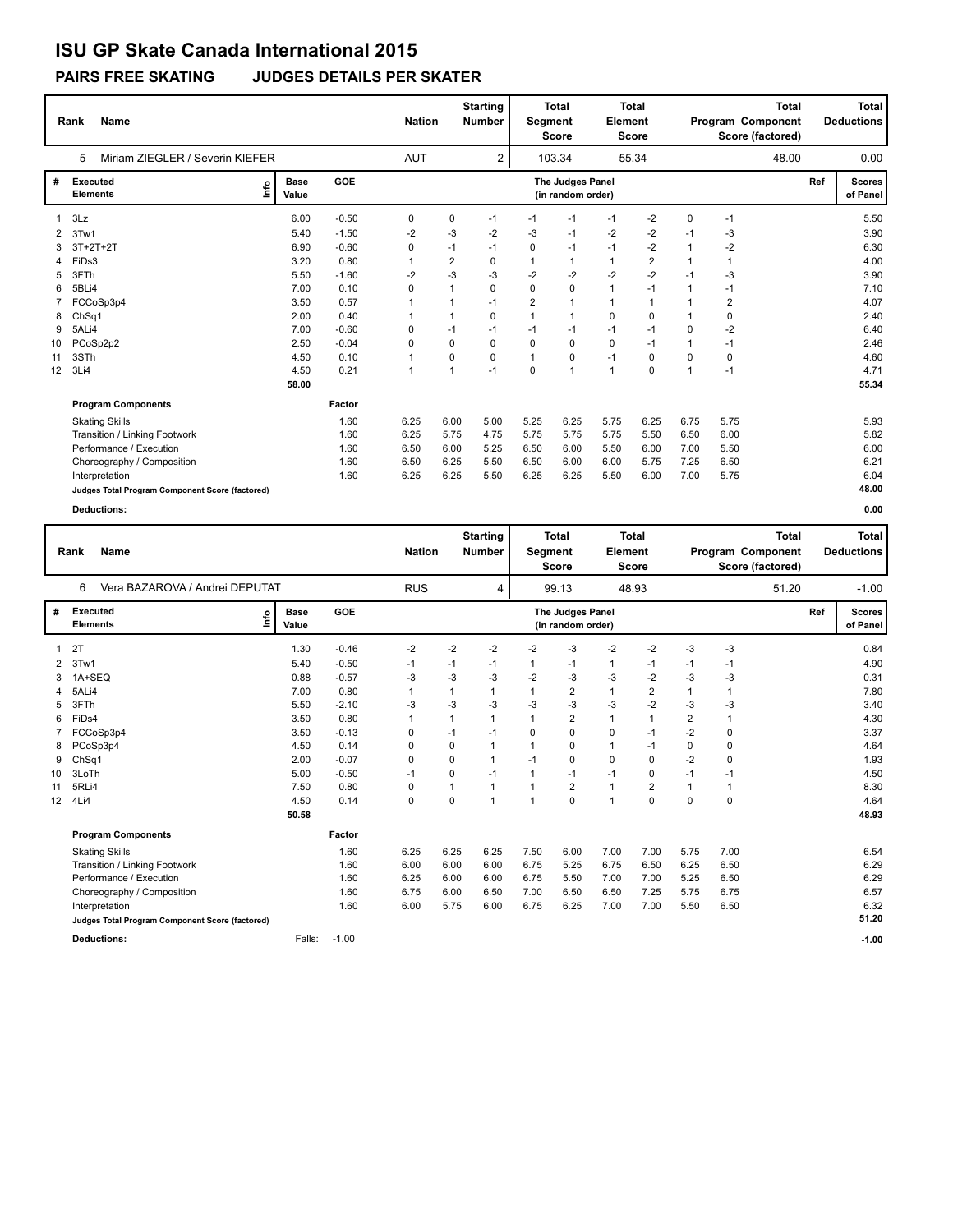**PAIRS FREE SKATING JUDGES DETAILS PER SKATER**

|                   | Name<br>Rank                                    |                      |         |                | <b>Nation</b>  | <b>Starting</b><br><b>Number</b> | Segment        | <b>Total</b><br><b>Score</b>          | <b>Total</b><br>Element<br><b>Score</b> |                | <b>Total</b><br>Program Component<br>Score (factored) |                |     | <b>Total</b><br><b>Deductions</b> |
|-------------------|-------------------------------------------------|----------------------|---------|----------------|----------------|----------------------------------|----------------|---------------------------------------|-----------------------------------------|----------------|-------------------------------------------------------|----------------|-----|-----------------------------------|
|                   | Miriam ZIEGLER / Severin KIEFER<br>5            |                      |         | <b>AUT</b>     |                | 2                                |                | 103.34                                |                                         | 55.34          |                                                       | 48.00          |     | 0.00                              |
| #                 | <b>Executed</b><br>lnfo<br><b>Elements</b>      | <b>Base</b><br>Value | GOE     |                |                |                                  |                | The Judges Panel<br>(in random order) |                                         |                |                                                       |                | Ref | <b>Scores</b><br>of Panel         |
| 1                 | 3Lz                                             | 6.00                 | $-0.50$ | 0              | 0              | $-1$                             | $-1$           | $-1$                                  | $-1$                                    | $-2$           | 0                                                     | $-1$           |     | 5.50                              |
| 2                 | 3Tw1                                            | 5.40                 | $-1.50$ | $-2$           | $-3$           | $-2$                             | -3             | $-1$                                  | $-2$                                    | $-2$           | $-1$                                                  | -3             |     | 3.90                              |
|                   | 3T+2T+2T                                        | 6.90                 | $-0.60$ | 0              | $-1$           | $-1$                             | $\Omega$       | $-1$                                  | $-1$                                    | $-2$           | 1                                                     | $-2$           |     | 6.30                              |
| 4                 | FiDs3                                           | 3.20                 | 0.80    | $\mathbf{1}$   | $\overline{2}$ | 0                                | 1              | $\mathbf{1}$                          | $\mathbf{1}$                            | $\overline{2}$ | 1                                                     | $\mathbf{1}$   |     | 4.00                              |
|                   | 3FTh                                            | 5.50                 | $-1.60$ | $-2$           | $-3$           | -3                               | $-2$           | $-2$                                  | $-2$                                    | $-2$           | $-1$                                                  | -3             |     | 3.90                              |
| 6                 | 5BLi4                                           | 7.00                 | 0.10    | 0              | $\mathbf{1}$   | 0                                | $\Omega$       | 0                                     | $\mathbf{1}$                            | $-1$           | 1                                                     | $-1$           |     | 7.10                              |
|                   | FCCoSp3p4                                       | 3.50                 | 0.57    | $\mathbf 1$    | $\mathbf{1}$   | $-1$                             | $\overline{2}$ | 1                                     | $\mathbf{1}$                            | $\mathbf{1}$   | 1                                                     | $\overline{2}$ |     | 4.07                              |
| 8                 | Ch <sub>Sq1</sub>                               | 2.00                 | 0.40    | $\mathbf 1$    | 1              | 0                                | $\overline{1}$ | $\mathbf{1}$                          | $\Omega$                                | 0              | $\mathbf{1}$                                          | 0              |     | 2.40                              |
| 9                 | 5ALi4                                           | 7.00                 | $-0.60$ | 0              | $-1$           | $-1$                             | $-1$           | $-1$                                  | $-1$                                    | $-1$           | 0                                                     | $-2$           |     | 6.40                              |
| 10                | PCoSp2p2                                        | 2.50                 | $-0.04$ | $\Omega$       | $\Omega$       | 0                                | $\Omega$       | $\Omega$                              | $\mathbf 0$                             | $-1$           | $\mathbf 1$                                           | $-1$           |     | 2.46                              |
| 11                | 3STh                                            | 4.50                 | 0.10    | $\overline{1}$ | 0              | 0                                | 1              | 0                                     | $-1$                                    | 0              | 0                                                     | 0              |     | 4.60                              |
| $12 \overline{ }$ | 3Li4                                            | 4.50                 | 0.21    | $\overline{1}$ | $\mathbf{1}$   | $-1$                             | $\Omega$       | $\mathbf{1}$                          | $\mathbf{1}$                            | $\mathbf 0$    | $\mathbf{1}$                                          | $-1$           |     | 4.71                              |
|                   |                                                 | 58.00                |         |                |                |                                  |                |                                       |                                         |                |                                                       |                |     | 55.34                             |
|                   | <b>Program Components</b>                       |                      | Factor  |                |                |                                  |                |                                       |                                         |                |                                                       |                |     |                                   |
|                   | <b>Skating Skills</b>                           |                      | 1.60    | 6.25           | 6.00           | 5.00                             | 5.25           | 6.25                                  | 5.75                                    | 6.25           | 6.75                                                  | 5.75           |     | 5.93                              |
|                   | Transition / Linking Footwork                   |                      | 1.60    | 6.25           | 5.75           | 4.75                             | 5.75           | 5.75                                  | 5.75                                    | 5.50           | 6.50                                                  | 6.00           |     | 5.82                              |
|                   | Performance / Execution                         |                      | 1.60    | 6.50           | 6.00           | 5.25                             | 6.50           | 6.00                                  | 5.50                                    | 6.00           | 7.00                                                  | 5.50           |     | 6.00                              |
|                   | Choreography / Composition                      |                      | 1.60    | 6.50           | 6.25           | 5.50                             | 6.50           | 6.00                                  | 6.00                                    | 5.75           | 7.25                                                  | 6.50           |     | 6.21                              |
|                   | Interpretation                                  |                      | 1.60    | 6.25           | 6.25           | 5.50                             | 6.25           | 6.25                                  | 5.50                                    | 6.00           | 7.00                                                  | 5.75           |     | 6.04                              |
|                   | Judges Total Program Component Score (factored) |                      |         |                |                |                                  |                |                                       |                                         |                |                                                       |                |     | 48.00                             |
|                   | <b>Deductions:</b>                              |                      |         |                |                |                                  |                |                                       |                                         |                |                                                       |                |     | 0.00                              |

|                 | <b>Name</b><br>Rank                             |                      |            | <b>Nation</b> |              | <b>Starting</b><br><b>Number</b> | Segment      | <b>Total</b><br><b>Score</b>          | Element        | <b>Total</b><br><b>Score</b> |                | Program Component<br>Score (factored) | <b>Total</b> | <b>Total</b><br><b>Deductions</b> |
|-----------------|-------------------------------------------------|----------------------|------------|---------------|--------------|----------------------------------|--------------|---------------------------------------|----------------|------------------------------|----------------|---------------------------------------|--------------|-----------------------------------|
|                 | Vera BAZAROVA / Andrei DEPUTAT<br>6             |                      |            | <b>RUS</b>    |              | 4                                |              | 99.13                                 |                | 48.93                        |                |                                       | 51.20        | $-1.00$                           |
| #               | Executed<br>١mfo<br><b>Elements</b>             | <b>Base</b><br>Value | <b>GOE</b> |               |              |                                  |              | The Judges Panel<br>(in random order) |                |                              |                |                                       |              | Ref<br>Scores<br>of Panel         |
|                 | 2T                                              | 1.30                 | $-0.46$    | $-2$          | $-2$         | $-2$                             | $-2$         | $-3$                                  | $-2$           | $-2$                         | $-3$           | $-3$                                  |              | 0.84                              |
| 2               | 3Tw1                                            | 5.40                 | $-0.50$    | $-1$          | $-1$         | $-1$                             | 1            | $-1$                                  | 1              | -1                           | $-1$           | $-1$                                  |              | 4.90                              |
| 3               | 1A+SEQ                                          | 0.88                 | $-0.57$    | $-3$          | $-3$         | $-3$                             | $-2$         | $-3$                                  | $-3$           | $-2$                         | $-3$           | $-3$                                  |              | 0.31                              |
| 4               | 5ALi4                                           | 7.00                 | 0.80       | $\mathbf{1}$  | $\mathbf{1}$ | $\mathbf{1}$                     | $\mathbf{1}$ | $\overline{2}$                        | $\mathbf{1}$   | $\overline{2}$               | 1              | 1                                     |              | 7.80                              |
| 5               | 3FTh                                            | 5.50                 | $-2.10$    | $-3$          | $-3$         | $-3$                             | -3           | $-3$                                  | $-3$           | $-2$                         | $-3$           | $-3$                                  |              | 3.40                              |
| 6               | FiDs4                                           | 3.50                 | 0.80       | 1             | $\mathbf{1}$ | 1                                | 1            | $\overline{2}$                        | $\mathbf{1}$   | $\overline{1}$               | $\overline{2}$ | 1                                     |              | 4.30                              |
|                 | FCCoSp3p4                                       | 3.50                 | $-0.13$    | 0             | $-1$         | $-1$                             | 0            | $\mathbf 0$                           | $\pmb{0}$      | $-1$                         | $-2$           | 0                                     |              | 3.37                              |
| 8               | PCoSp3p4                                        | 4.50                 | 0.14       | $\Omega$      | $\Omega$     | 1                                | $\mathbf{1}$ | $\Omega$                              | $\mathbf{1}$   | $-1$                         | $\Omega$       | $\mathbf 0$                           |              | 4.64                              |
| 9               | ChSq1                                           | 2.00                 | $-0.07$    | 0             | 0            | $\mathbf{1}$                     | $-1$         | 0                                     | $\mathbf 0$    | 0                            | $-2$           | 0                                     |              | 1.93                              |
| 10              | 3LoTh                                           | 5.00                 | $-0.50$    | $-1$          | 0            | $-1$                             | 1            | $-1$                                  | $-1$           | 0                            | $-1$           | $-1$                                  |              | 4.50                              |
| 11              | 5RLi4                                           | 7.50                 | 0.80       | 0             | $\mathbf 1$  | $\mathbf{1}$                     | $\mathbf 1$  | $\overline{2}$                        | $\mathbf{1}$   | $\overline{2}$               |                | $\overline{1}$                        |              | 8.30                              |
| 12 <sup>2</sup> | 4Li4                                            | 4.50                 | 0.14       | 0             | $\Omega$     | 1                                | $\mathbf 1$  | $\Omega$                              | $\overline{1}$ | $\Omega$                     | 0              | 0                                     |              | 4.64                              |
|                 |                                                 | 50.58                |            |               |              |                                  |              |                                       |                |                              |                |                                       |              | 48.93                             |
|                 | <b>Program Components</b>                       |                      | Factor     |               |              |                                  |              |                                       |                |                              |                |                                       |              |                                   |
|                 | <b>Skating Skills</b>                           |                      | 1.60       | 6.25          | 6.25         | 6.25                             | 7.50         | 6.00                                  | 7.00           | 7.00                         | 5.75           | 7.00                                  |              | 6.54                              |
|                 | Transition / Linking Footwork                   |                      | 1.60       | 6.00          | 6.00         | 6.00                             | 6.75         | 5.25                                  | 6.75           | 6.50                         | 6.25           | 6.50                                  |              | 6.29                              |
|                 | Performance / Execution                         |                      | 1.60       | 6.25          | 6.00         | 6.00                             | 6.75         | 5.50                                  | 7.00           | 7.00                         | 5.25           | 6.50                                  |              | 6.29                              |
|                 | Choreography / Composition                      |                      | 1.60       | 6.75          | 6.00         | 6.50                             | 7.00         | 6.50                                  | 6.50           | 7.25                         | 5.75           | 6.75                                  |              | 6.57                              |
|                 | Interpretation                                  |                      | 1.60       | 6.00          | 5.75         | 6.00                             | 6.75         | 6.25                                  | 7.00           | 7.00                         | 5.50           | 6.50                                  |              | 6.32                              |
|                 | Judges Total Program Component Score (factored) |                      |            |               |              |                                  |              |                                       |                |                              |                |                                       |              | 51.20                             |
|                 | <b>Deductions:</b>                              | Falls:               | $-1.00$    |               |              |                                  |              |                                       |                |                              |                |                                       |              | $-1.00$                           |